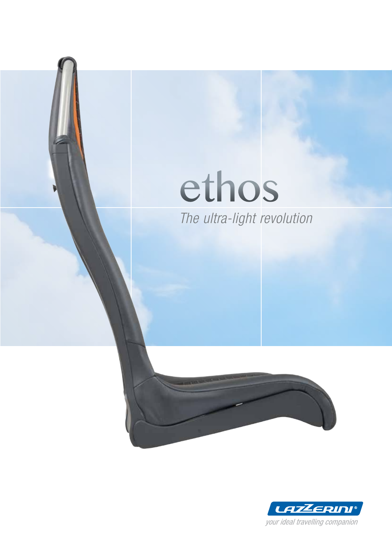## ethos The ultra-light revolution



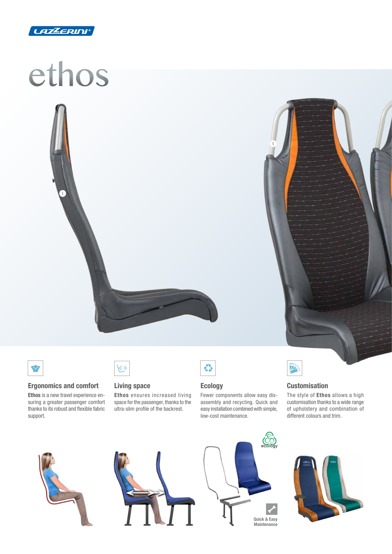

# ethos

3



5



#### Ergonomics and comfort

Ethos is a new travel experience ensuring a greater passenger comfort thanks to its robust and flexible fabric support.



#### Living space

Ethos ensures increased living space for the passenger, thanks to the ultra-slim profile of the backrest.



#### Ecology

Fewer components allow easy disassembly and recycling. Quick and easy installation combined with simple, low-cost maintenance.



#### **Customisation**

The style of Ethos allows a high customisation thanks to a wide range of upholstery and combination of different colours and trim.







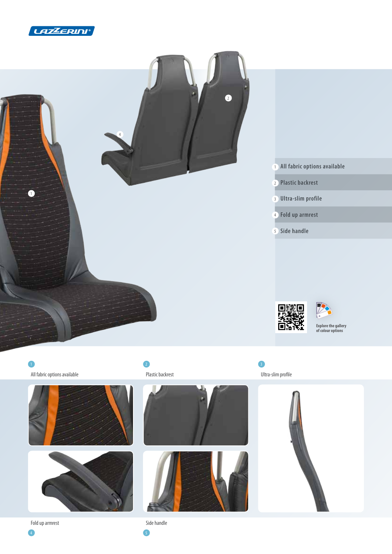



1 2  $\overline{2}$  3  $\overline{3}$  3  $\overline{3}$  3  $\overline{3}$  3  $\overline{3}$  3  $\overline{3}$  3  $\overline{3}$  3  $\overline{3}$  3  $\overline{3}$  3  $\overline{3}$  3  $\overline{3}$  3  $\overline{3}$  3  $\overline{3}$  3  $\overline{3}$  3  $\overline{3}$  3  $\overline{3}$  3  $\overline{3}$  3  $\overline{3}$  3  $\overline{3}$  3  $\overline{3}$ 





 $\overline{4}$  5

Fold up armrest Side handle





All fabric options available and the Plastic backrest Plastic backrest Clear Communications available Ultra-slim profile